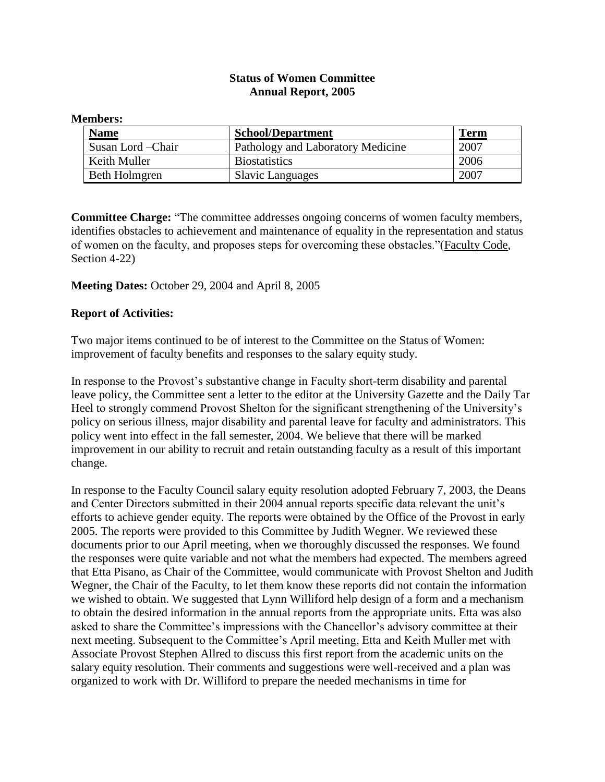## **Status of Women Committee Annual Report, 2005**

| <b>Members:</b>    |                                   |             |
|--------------------|-----------------------------------|-------------|
| <b>Name</b>        | <b>School/Department</b>          | <b>Term</b> |
| Susan Lord – Chair | Pathology and Laboratory Medicine | 2007        |
| Keith Muller       | <b>Biostatistics</b>              | 2006        |
| Beth Holmgren      | <b>Slavic Languages</b>           | 2007        |

**Committee Charge:** "The committee addresses ongoing concerns of women faculty members, identifies obstacles to achievement and maintenance of equality in the representation and status of women on the faculty, and proposes steps for overcoming these obstacles."(Faculty Code, Section 4-22)

## **Meeting Dates:** October 29, 2004 and April 8, 2005

## **Report of Activities:**

Two major items continued to be of interest to the Committee on the Status of Women: improvement of faculty benefits and responses to the salary equity study.

In response to the Provost's substantive change in Faculty short-term disability and parental leave policy, the Committee sent a letter to the editor at the University Gazette and the Daily Tar Heel to strongly commend Provost Shelton for the significant strengthening of the University's policy on serious illness, major disability and parental leave for faculty and administrators. This policy went into effect in the fall semester, 2004. We believe that there will be marked improvement in our ability to recruit and retain outstanding faculty as a result of this important change.

In response to the Faculty Council salary equity resolution adopted February 7, 2003, the Deans and Center Directors submitted in their 2004 annual reports specific data relevant the unit's efforts to achieve gender equity. The reports were obtained by the Office of the Provost in early 2005. The reports were provided to this Committee by Judith Wegner. We reviewed these documents prior to our April meeting, when we thoroughly discussed the responses. We found the responses were quite variable and not what the members had expected. The members agreed that Etta Pisano, as Chair of the Committee, would communicate with Provost Shelton and Judith Wegner, the Chair of the Faculty, to let them know these reports did not contain the information we wished to obtain. We suggested that Lynn Williford help design of a form and a mechanism to obtain the desired information in the annual reports from the appropriate units. Etta was also asked to share the Committee's impressions with the Chancellor's advisory committee at their next meeting. Subsequent to the Committee's April meeting, Etta and Keith Muller met with Associate Provost Stephen Allred to discuss this first report from the academic units on the salary equity resolution. Their comments and suggestions were well-received and a plan was organized to work with Dr. Williford to prepare the needed mechanisms in time for